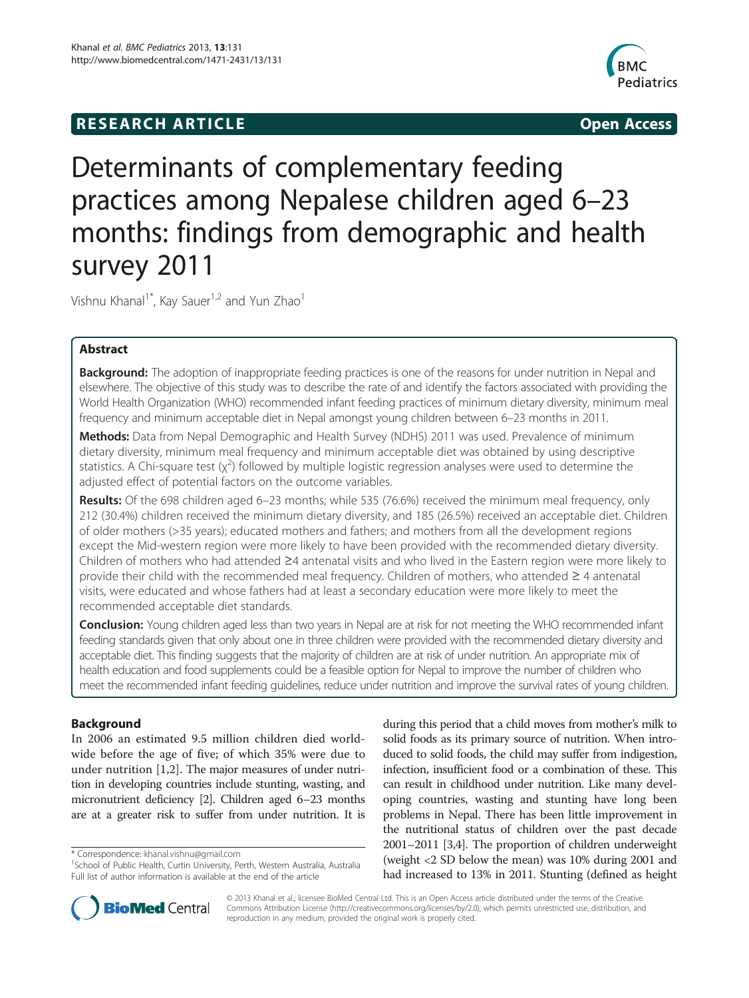## **RESEARCH ARTICLE Example 2014 CONSIDERING CONSIDERING CONSIDERING CONSIDERING CONSIDERING CONSIDERING CONSIDERING CONSIDERING CONSIDERING CONSIDERING CONSIDERING CONSIDERING CONSIDERING CONSIDERING CONSIDERING CONSIDE**



# Determinants of complementary feeding practices among Nepalese children aged 6–23 months: findings from demographic and health survey 2011

Vishnu Khanal<sup>1\*</sup>, Kay Sauer<sup>1,2</sup> and Yun Zhao<sup>1</sup>

## Abstract

Background: The adoption of inappropriate feeding practices is one of the reasons for under nutrition in Nepal and elsewhere. The objective of this study was to describe the rate of and identify the factors associated with providing the World Health Organization (WHO) recommended infant feeding practices of minimum dietary diversity, minimum meal frequency and minimum acceptable diet in Nepal amongst young children between 6–23 months in 2011.

Methods: Data from Nepal Demographic and Health Survey (NDHS) 2011 was used. Prevalence of minimum dietary diversity, minimum meal frequency and minimum acceptable diet was obtained by using descriptive statistics. A Chi-square test  $(x^2)$  followed by multiple logistic regression analyses were used to determine the adjusted effect of potential factors on the outcome variables.

Results: Of the 698 children aged 6-23 months; while 535 (76.6%) received the minimum meal frequency, only 212 (30.4%) children received the minimum dietary diversity, and 185 (26.5%) received an acceptable diet. Children of older mothers (>35 years); educated mothers and fathers; and mothers from all the development regions except the Mid-western region were more likely to have been provided with the recommended dietary diversity. Children of mothers who had attended ≥4 antenatal visits and who lived in the Eastern region were more likely to provide their child with the recommended meal frequency. Children of mothers, who attended ≥ 4 antenatal visits, were educated and whose fathers had at least a secondary education were more likely to meet the recommended acceptable diet standards.

**Conclusion:** Young children aged less than two years in Nepal are at risk for not meeting the WHO recommended infant feeding standards given that only about one in three children were provided with the recommended dietary diversity and acceptable diet. This finding suggests that the majority of children are at risk of under nutrition. An appropriate mix of health education and food supplements could be a feasible option for Nepal to improve the number of children who meet the recommended infant feeding guidelines, reduce under nutrition and improve the survival rates of young children.

## Background

In 2006 an estimated 9.5 million children died worldwide before the age of five; of which 35% were due to under nutrition [\[1](#page-11-0),[2\]](#page-11-0). The major measures of under nutrition in developing countries include stunting, wasting, and micronutrient deficiency [[2](#page-11-0)]. Children aged 6–23 months are at a greater risk to suffer from under nutrition. It is

during this period that a child moves from mother's milk to solid foods as its primary source of nutrition. When introduced to solid foods, the child may suffer from indigestion, infection, insufficient food or a combination of these. This can result in childhood under nutrition. Like many developing countries, wasting and stunting have long been problems in Nepal. There has been little improvement in the nutritional status of children over the past decade 2001–2011 [\[3,4](#page-11-0)]. The proportion of children underweight (weight <2 SD below the mean) was 10% during 2001 and had increased to 13% in 2011. Stunting (defined as height



© 2013 Khanal et al.; licensee BioMed Central Ltd. This is an Open Access article distributed under the terms of the Creative Commons Attribution License [\(http://creativecommons.org/licenses/by/2.0\)](http://creativecommons.org/licenses/by/2.0), which permits unrestricted use, distribution, and reproduction in any medium, provided the original work is properly cited.

<sup>\*</sup> Correspondence: [khanal.vishnu@gmail.com](mailto:khanal.vishnu@gmail.com) <sup>1</sup>

<sup>&</sup>lt;sup>1</sup> School of Public Health, Curtin University, Perth, Western Australia, Australia Full list of author information is available at the end of the article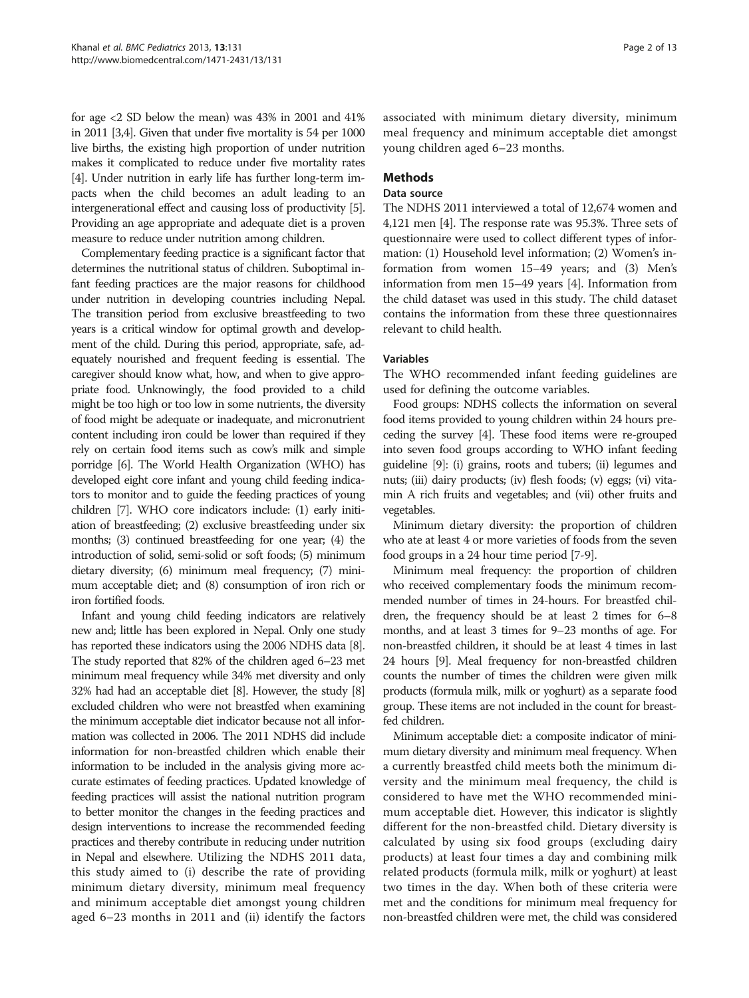for age <2 SD below the mean) was 43% in 2001 and 41% in 2011 [[3,4](#page-11-0)]. Given that under five mortality is 54 per 1000 live births, the existing high proportion of under nutrition makes it complicated to reduce under five mortality rates [[4](#page-11-0)]. Under nutrition in early life has further long-term impacts when the child becomes an adult leading to an intergenerational effect and causing loss of productivity [[5](#page-12-0)]. Providing an age appropriate and adequate diet is a proven measure to reduce under nutrition among children.

Complementary feeding practice is a significant factor that determines the nutritional status of children. Suboptimal infant feeding practices are the major reasons for childhood under nutrition in developing countries including Nepal. The transition period from exclusive breastfeeding to two years is a critical window for optimal growth and development of the child. During this period, appropriate, safe, adequately nourished and frequent feeding is essential. The caregiver should know what, how, and when to give appropriate food. Unknowingly, the food provided to a child might be too high or too low in some nutrients, the diversity of food might be adequate or inadequate, and micronutrient content including iron could be lower than required if they rely on certain food items such as cow's milk and simple porridge [\[6\]](#page-12-0). The World Health Organization (WHO) has developed eight core infant and young child feeding indicators to monitor and to guide the feeding practices of young children [\[7](#page-12-0)]. WHO core indicators include: (1) early initiation of breastfeeding; (2) exclusive breastfeeding under six months; (3) continued breastfeeding for one year; (4) the introduction of solid, semi-solid or soft foods; (5) minimum dietary diversity; (6) minimum meal frequency; (7) minimum acceptable diet; and (8) consumption of iron rich or iron fortified foods.

Infant and young child feeding indicators are relatively new and; little has been explored in Nepal. Only one study has reported these indicators using the 2006 NDHS data [[8](#page-12-0)]. The study reported that 82% of the children aged 6–23 met minimum meal frequency while 34% met diversity and only 32% had had an acceptable diet [\[8\]](#page-12-0). However, the study [[8](#page-12-0)] excluded children who were not breastfed when examining the minimum acceptable diet indicator because not all information was collected in 2006. The 2011 NDHS did include information for non-breastfed children which enable their information to be included in the analysis giving more accurate estimates of feeding practices. Updated knowledge of feeding practices will assist the national nutrition program to better monitor the changes in the feeding practices and design interventions to increase the recommended feeding practices and thereby contribute in reducing under nutrition in Nepal and elsewhere. Utilizing the NDHS 2011 data, this study aimed to (i) describe the rate of providing minimum dietary diversity, minimum meal frequency and minimum acceptable diet amongst young children aged 6–23 months in 2011 and (ii) identify the factors

associated with minimum dietary diversity, minimum meal frequency and minimum acceptable diet amongst young children aged 6–23 months.

## Methods

## Data source

The NDHS 2011 interviewed a total of 12,674 women and 4,121 men [[4](#page-11-0)]. The response rate was 95.3%. Three sets of questionnaire were used to collect different types of information: (1) Household level information; (2) Women's information from women 15–49 years; and (3) Men's information from men 15–49 years [\[4](#page-11-0)]. Information from the child dataset was used in this study. The child dataset contains the information from these three questionnaires relevant to child health.

## Variables

The WHO recommended infant feeding guidelines are used for defining the outcome variables.

Food groups: NDHS collects the information on several food items provided to young children within 24 hours preceding the survey [[4](#page-11-0)]. These food items were re-grouped into seven food groups according to WHO infant feeding guideline [[9\]](#page-12-0): (i) grains, roots and tubers; (ii) legumes and nuts; (iii) dairy products; (iv) flesh foods; (v) eggs; (vi) vitamin A rich fruits and vegetables; and (vii) other fruits and vegetables.

Minimum dietary diversity: the proportion of children who ate at least 4 or more varieties of foods from the seven food groups in a 24 hour time period [[7-9\]](#page-12-0).

Minimum meal frequency: the proportion of children who received complementary foods the minimum recommended number of times in 24-hours. For breastfed children, the frequency should be at least 2 times for 6–8 months, and at least 3 times for 9–23 months of age. For non-breastfed children, it should be at least 4 times in last 24 hours [\[9\]](#page-12-0). Meal frequency for non-breastfed children counts the number of times the children were given milk products (formula milk, milk or yoghurt) as a separate food group. These items are not included in the count for breastfed children.

Minimum acceptable diet: a composite indicator of minimum dietary diversity and minimum meal frequency. When a currently breastfed child meets both the minimum diversity and the minimum meal frequency, the child is considered to have met the WHO recommended minimum acceptable diet. However, this indicator is slightly different for the non-breastfed child. Dietary diversity is calculated by using six food groups (excluding dairy products) at least four times a day and combining milk related products (formula milk, milk or yoghurt) at least two times in the day. When both of these criteria were met and the conditions for minimum meal frequency for non-breastfed children were met, the child was considered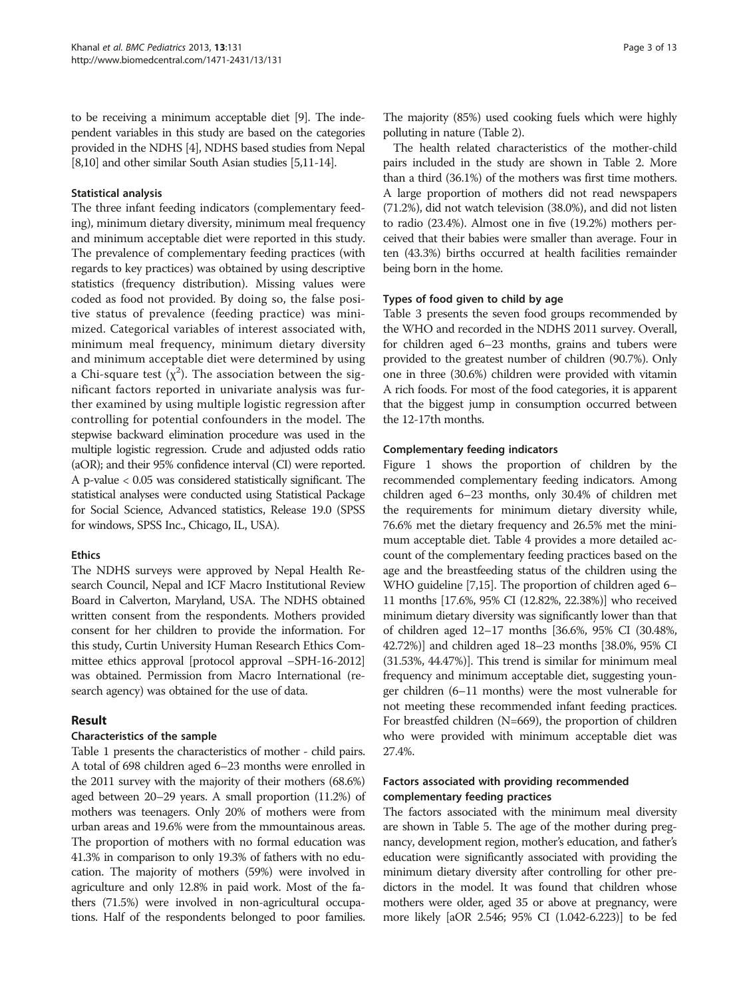to be receiving a minimum acceptable diet [\[9\]](#page-12-0). The independent variables in this study are based on the categories provided in the NDHS [[4](#page-11-0)], NDHS based studies from Nepal [[8,10\]](#page-12-0) and other similar South Asian studies [\[5,11-14\]](#page-12-0).

## Statistical analysis

The three infant feeding indicators (complementary feeding), minimum dietary diversity, minimum meal frequency and minimum acceptable diet were reported in this study. The prevalence of complementary feeding practices (with regards to key practices) was obtained by using descriptive statistics (frequency distribution). Missing values were coded as food not provided. By doing so, the false positive status of prevalence (feeding practice) was minimized. Categorical variables of interest associated with, minimum meal frequency, minimum dietary diversity and minimum acceptable diet were determined by using a Chi-square test  $(\chi^2)$ . The association between the significant factors reported in univariate analysis was further examined by using multiple logistic regression after controlling for potential confounders in the model. The stepwise backward elimination procedure was used in the multiple logistic regression. Crude and adjusted odds ratio (aOR); and their 95% confidence interval (CI) were reported. A p-value < 0.05 was considered statistically significant. The statistical analyses were conducted using Statistical Package for Social Science, Advanced statistics, Release 19.0 (SPSS for windows, SPSS Inc., Chicago, IL, USA).

## Ethics

The NDHS surveys were approved by Nepal Health Research Council, Nepal and ICF Macro Institutional Review Board in Calverton, Maryland, USA. The NDHS obtained written consent from the respondents. Mothers provided consent for her children to provide the information. For this study, Curtin University Human Research Ethics Committee ethics approval [protocol approval –SPH-16-2012] was obtained. Permission from Macro International (research agency) was obtained for the use of data.

## Result

## Characteristics of the sample

Table [1](#page-3-0) presents the characteristics of mother - child pairs. A total of 698 children aged 6–23 months were enrolled in the 2011 survey with the majority of their mothers (68.6%) aged between 20–29 years. A small proportion (11.2%) of mothers was teenagers. Only 20% of mothers were from urban areas and 19.6% were from the mmountainous areas. The proportion of mothers with no formal education was 41.3% in comparison to only 19.3% of fathers with no education. The majority of mothers (59%) were involved in agriculture and only 12.8% in paid work. Most of the fathers (71.5%) were involved in non-agricultural occupations. Half of the respondents belonged to poor families.

The majority (85%) used cooking fuels which were highly polluting in nature (Table [2](#page-5-0)).

The health related characteristics of the mother-child pairs included in the study are shown in Table [2](#page-5-0). More than a third (36.1%) of the mothers was first time mothers. A large proportion of mothers did not read newspapers (71.2%), did not watch television (38.0%), and did not listen to radio (23.4%). Almost one in five (19.2%) mothers perceived that their babies were smaller than average. Four in ten (43.3%) births occurred at health facilities remainder being born in the home.

## Types of food given to child by age

Table [3](#page-6-0) presents the seven food groups recommended by the WHO and recorded in the NDHS 2011 survey. Overall, for children aged 6–23 months, grains and tubers were provided to the greatest number of children (90.7%). Only one in three (30.6%) children were provided with vitamin A rich foods. For most of the food categories, it is apparent that the biggest jump in consumption occurred between the 12-17th months.

## Complementary feeding indicators

Figure [1](#page-7-0) shows the proportion of children by the recommended complementary feeding indicators. Among children aged 6–23 months, only 30.4% of children met the requirements for minimum dietary diversity while, 76.6% met the dietary frequency and 26.5% met the minimum acceptable diet. Table [4](#page-7-0) provides a more detailed account of the complementary feeding practices based on the age and the breastfeeding status of the children using the WHO guideline [[7,15\]](#page-12-0). The proportion of children aged 6– 11 months [17.6%, 95% CI (12.82%, 22.38%)] who received minimum dietary diversity was significantly lower than that of children aged 12–17 months [36.6%, 95% CI (30.48%, 42.72%)] and children aged 18–23 months [38.0%, 95% CI (31.53%, 44.47%)]. This trend is similar for minimum meal frequency and minimum acceptable diet, suggesting younger children (6–11 months) were the most vulnerable for not meeting these recommended infant feeding practices. For breastfed children (N=669), the proportion of children who were provided with minimum acceptable diet was 27.4%.

## Factors associated with providing recommended complementary feeding practices

The factors associated with the minimum meal diversity are shown in Table [5](#page-8-0). The age of the mother during pregnancy, development region, mother's education, and father's education were significantly associated with providing the minimum dietary diversity after controlling for other predictors in the model. It was found that children whose mothers were older, aged 35 or above at pregnancy, were more likely [aOR 2.546; 95% CI (1.042-6.223)] to be fed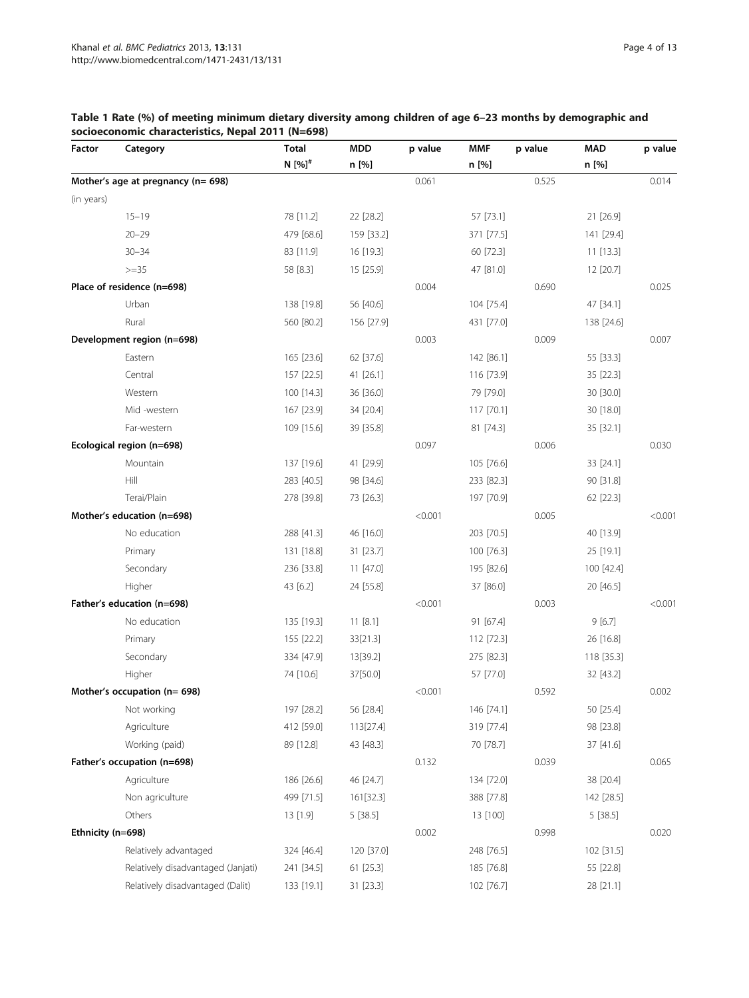## <span id="page-3-0"></span>Table 1 Rate (%) of meeting minimum dietary diversity among children of age 6–23 months by demographic and socioeconomic characteristics, Nepal 2011 (N=698)

| Factor            | Category                           | <b>Total</b>         | <b>MDD</b> | p value | <b>MMF</b> | p value | <b>MAD</b> | p value |
|-------------------|------------------------------------|----------------------|------------|---------|------------|---------|------------|---------|
|                   |                                    | $N$ [%] <sup>#</sup> | n [%]      |         | n [%]      |         | n [%]      |         |
|                   | Mother's age at pregnancy (n= 698) |                      |            | 0.061   |            | 0.525   |            | 0.014   |
| (in years)        |                                    |                      |            |         |            |         |            |         |
|                   | $15 - 19$                          | 78 [11.2]            | 22 [28.2]  |         | 57 [73.1]  |         | 21 [26.9]  |         |
|                   | $20 - 29$                          | 479 [68.6]           | 159 [33.2] |         | 371 [77.5] |         | 141 [29.4] |         |
|                   | $30 - 34$                          | 83 [11.9]            | 16 [19.3]  |         | 60 [72.3]  |         | 11 [13.3]  |         |
|                   | $>=35$                             | 58 [8.3]             | 15 [25.9]  |         | 47 [81.0]  |         | 12 [20.7]  |         |
|                   | Place of residence (n=698)         |                      |            | 0.004   |            | 0.690   |            | 0.025   |
|                   | Urban                              | 138 [19.8]           | 56 [40.6]  |         | 104 [75.4] |         | 47 [34.1]  |         |
|                   | Rural                              | 560 [80.2]           | 156 [27.9] |         | 431 [77.0] |         | 138 [24.6] |         |
|                   | Development region (n=698)         |                      |            | 0.003   |            | 0.009   |            | 0.007   |
|                   | Eastern                            | 165 [23.6]           | 62 [37.6]  |         | 142 [86.1] |         | 55 [33.3]  |         |
|                   | Central                            | 157 [22.5]           | 41 [26.1]  |         | 116 [73.9] |         | 35 [22.3]  |         |
|                   | Western                            | 100 [14.3]           | 36 [36.0]  |         | 79 [79.0]  |         | 30 [30.0]  |         |
|                   | Mid-western                        | 167 [23.9]           | 34 [20.4]  |         | 117 [70.1] |         | 30 [18.0]  |         |
|                   | Far-western                        | 109 [15.6]           | 39 [35.8]  |         | 81 [74.3]  |         | 35 [32.1]  |         |
|                   | Ecological region (n=698)          |                      |            | 0.097   |            | 0.006   |            | 0.030   |
|                   | Mountain                           | 137 [19.6]           | 41 [29.9]  |         | 105 [76.6] |         | 33 [24.1]  |         |
|                   | Hill                               | 283 [40.5]           | 98 [34.6]  |         | 233 [82.3] |         | 90 [31.8]  |         |
|                   | Terai/Plain                        | 278 [39.8]           | 73 [26.3]  |         | 197 [70.9] |         | 62 [22.3]  |         |
|                   | Mother's education (n=698)         |                      |            | < 0.001 |            | 0.005   |            | < 0.001 |
|                   | No education                       | 288 [41.3]           | 46 [16.0]  |         | 203 [70.5] |         | 40 [13.9]  |         |
|                   | Primary                            | 131 [18.8]           | 31 [23.7]  |         | 100 [76.3] |         | 25 [19.1]  |         |
|                   | Secondary                          | 236 [33.8]           | 11 [47.0]  |         | 195 [82.6] |         | 100 [42.4] |         |
|                   | Higher                             | 43 [6.2]             | 24 [55.8]  |         | 37 [86.0]  |         | 20 [46.5]  |         |
|                   | Father's education (n=698)         |                      |            | < 0.001 |            | 0.003   |            | < 0.001 |
|                   | No education                       | 135 [19.3]           | 11 [8.1]   |         | 91 [67.4]  |         | 9[6.7]     |         |
|                   | Primary                            | 155 [22.2]           | 33[21.3]   |         | 112 [72.3] |         | 26 [16.8]  |         |
|                   | Secondary                          | 334 [47.9]           | 13[39.2]   |         | 275 [82.3] |         | 118 [35.3] |         |
|                   | Higher                             | 74 [10.6]            | 37[50.0]   |         | 57 [77.0]  |         | 32 [43.2]  |         |
|                   | Mother's occupation ( $n = 698$ )  |                      |            | < 0.001 |            | 0.592   |            | 0.002   |
|                   | Not working                        | 197 [28.2]           | 56 [28.4]  |         | 146 [74.1] |         | 50 [25.4]  |         |
|                   | Agriculture                        | 412 [59.0]           | 113[27.4]  |         | 319 [77.4] |         | 98 [23.8]  |         |
|                   | Working (paid)                     | 89 [12.8]            | 43 [48.3]  |         | 70 [78.7]  |         | 37 [41.6]  |         |
|                   | Father's occupation (n=698)        |                      |            | 0.132   |            | 0.039   |            | 0.065   |
|                   | Agriculture                        | 186 [26.6]           | 46 [24.7]  |         | 134 [72.0] |         | 38 [20.4]  |         |
|                   | Non agriculture                    | 499 [71.5]           | 161[32.3]  |         | 388 [77.8] |         | 142 [28.5] |         |
|                   | Others                             | 13 [1.9]             | 5 [38.5]   |         | 13 [100]   |         | 5[38.5]    |         |
| Ethnicity (n=698) |                                    |                      |            | 0.002   |            | 0.998   |            | 0.020   |
|                   | Relatively advantaged              | 324 [46.4]           | 120 [37.0] |         | 248 [76.5] |         | 102 [31.5] |         |
|                   | Relatively disadvantaged (Janjati) | 241 [34.5]           | 61 [25.3]  |         | 185 [76.8] |         | 55 [22.8]  |         |
|                   | Relatively disadvantaged (Dalit)   | 133 [19.1]           | 31 [23.3]  |         | 102 [76.7] |         | 28 [21.1]  |         |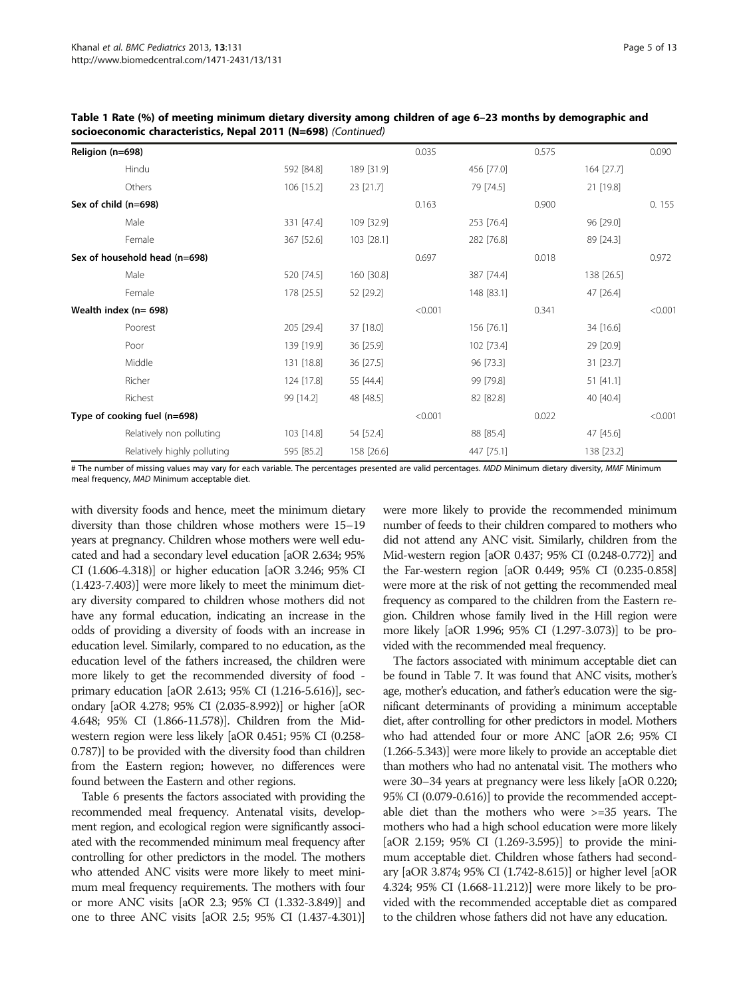| $\overline{\text{SUCUC}}$     |            |            |         |            |       |            |         |  |  |  |
|-------------------------------|------------|------------|---------|------------|-------|------------|---------|--|--|--|
| Religion (n=698)              |            |            | 0.035   |            | 0.575 |            | 0.090   |  |  |  |
| Hindu                         | 592 [84.8] | 189 [31.9] |         | 456 [77.0] |       | 164 [27.7] |         |  |  |  |
| Others                        | 106 [15.2] | 23 [21.7]  |         | 79 [74.5]  |       | 21 [19.8]  |         |  |  |  |
| Sex of child (n=698)          |            |            | 0.163   |            | 0.900 |            | 0.155   |  |  |  |
| Male                          | 331 [47.4] | 109 [32.9] |         | 253 [76.4] |       | 96 [29.0]  |         |  |  |  |
| Female                        | 367 [52.6] | 103 [28.1] |         | 282 [76.8] |       | 89 [24.3]  |         |  |  |  |
| Sex of household head (n=698) |            |            | 0.697   |            | 0.018 |            | 0.972   |  |  |  |
| Male                          | 520 [74.5] | 160 [30.8] |         | 387 [74.4] |       | 138 [26.5] |         |  |  |  |
| Female                        | 178 [25.5] | 52 [29.2]  |         | 148 [83.1] |       | 47 [26.4]  |         |  |  |  |
| Wealth index (n= 698)         |            |            | < 0.001 |            | 0.341 |            | < 0.001 |  |  |  |
| Poorest                       | 205 [29.4] | 37 [18.0]  |         | 156 [76.1] |       | 34 [16.6]  |         |  |  |  |
| Poor                          | 139 [19.9] | 36 [25.9]  |         | 102 [73.4] |       | 29 [20.9]  |         |  |  |  |
| Middle                        | 131 [18.8] | 36 [27.5]  |         | 96 [73.3]  |       | 31 [23.7]  |         |  |  |  |
| Richer                        | 124 [17.8] | 55 [44.4]  |         | 99 [79.8]  |       | 51 [41.1]  |         |  |  |  |
| Richest                       | 99 [14.2]  | 48 [48.5]  |         | 82 [82.8]  |       | 40 [40.4]  |         |  |  |  |
| Type of cooking fuel (n=698)  |            |            | < 0.001 |            | 0.022 |            | < 0.001 |  |  |  |
| Relatively non polluting      | 103 [14.8] | 54 [52.4]  |         | 88 [85.4]  |       | 47 [45.6]  |         |  |  |  |
| Relatively highly polluting   | 595 [85.2] | 158 [26.6] |         | 447 [75.1] |       | 138 [23.2] |         |  |  |  |
|                               |            |            |         |            |       |            |         |  |  |  |

Table 1 Rate (%) of meeting minimum dietary diversity among children of age 6–23 months by demographic and socioeconomic characteristics, Nepal 2011 (N=698) (Continued)

# The number of missing values may vary for each variable. The percentages presented are valid percentages. MDD Minimum dietary diversity, MMF Minimum meal frequency, MAD Minimum acceptable diet.

with diversity foods and hence, meet the minimum dietary diversity than those children whose mothers were 15–19 years at pregnancy. Children whose mothers were well educated and had a secondary level education [aOR 2.634; 95% CI (1.606-4.318)] or higher education [aOR 3.246; 95% CI (1.423-7.403)] were more likely to meet the minimum dietary diversity compared to children whose mothers did not have any formal education, indicating an increase in the odds of providing a diversity of foods with an increase in education level. Similarly, compared to no education, as the education level of the fathers increased, the children were more likely to get the recommended diversity of food primary education [aOR 2.613; 95% CI (1.216-5.616)], secondary [aOR 4.278; 95% CI (2.035-8.992)] or higher [aOR 4.648; 95% CI (1.866-11.578)]. Children from the Midwestern region were less likely [aOR 0.451; 95% CI (0.258- 0.787)] to be provided with the diversity food than children from the Eastern region; however, no differences were found between the Eastern and other regions.

Table [6](#page-9-0) presents the factors associated with providing the recommended meal frequency. Antenatal visits, development region, and ecological region were significantly associated with the recommended minimum meal frequency after controlling for other predictors in the model. The mothers who attended ANC visits were more likely to meet minimum meal frequency requirements. The mothers with four or more ANC visits [aOR 2.3; 95% CI (1.332-3.849)] and one to three ANC visits [aOR 2.5; 95% CI (1.437-4.301)]

were more likely to provide the recommended minimum number of feeds to their children compared to mothers who did not attend any ANC visit. Similarly, children from the Mid-western region [aOR 0.437; 95% CI (0.248-0.772)] and the Far-western region [aOR 0.449; 95% CI (0.235-0.858] were more at the risk of not getting the recommended meal frequency as compared to the children from the Eastern region. Children whose family lived in the Hill region were more likely [aOR 1.996; 95% CI (1.297-3.073)] to be provided with the recommended meal frequency.

The factors associated with minimum acceptable diet can be found in Table [7.](#page-9-0) It was found that ANC visits, mother's age, mother's education, and father's education were the significant determinants of providing a minimum acceptable diet, after controlling for other predictors in model. Mothers who had attended four or more ANC [aOR 2.6; 95% CI (1.266-5.343)] were more likely to provide an acceptable diet than mothers who had no antenatal visit. The mothers who were 30–34 years at pregnancy were less likely [aOR 0.220; 95% CI (0.079-0.616)] to provide the recommended acceptable diet than the mothers who were >=35 years. The mothers who had a high school education were more likely [aOR 2.159; 95% CI (1.269-3.595)] to provide the minimum acceptable diet. Children whose fathers had secondary [aOR 3.874; 95% CI (1.742-8.615)] or higher level [aOR 4.324; 95% CI (1.668-11.212)] were more likely to be provided with the recommended acceptable diet as compared to the children whose fathers did not have any education.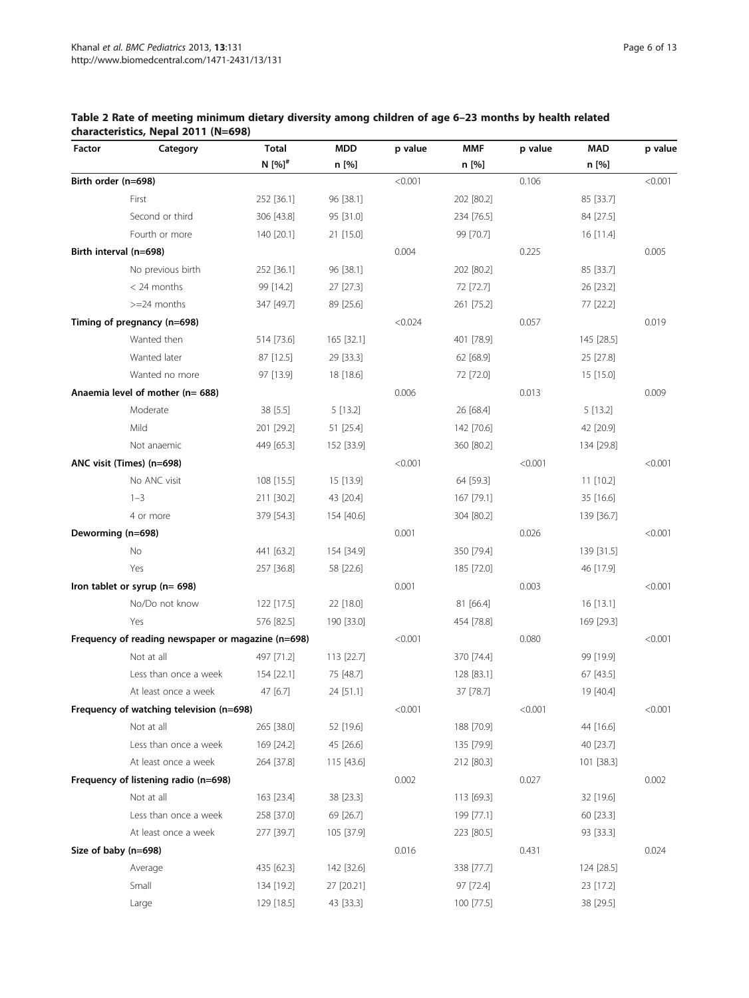| Factor              | Category                                           | <b>Total</b>         | <b>MDD</b> | p value | <b>MMF</b> | p value | <b>MAD</b> | p value |
|---------------------|----------------------------------------------------|----------------------|------------|---------|------------|---------|------------|---------|
|                     |                                                    | N $[%]$ <sup>#</sup> | n [%]      |         | n [%]      |         | n [%]      |         |
| Birth order (n=698) |                                                    |                      |            | < 0.001 |            | 0.106   |            | < 0.001 |
|                     | First                                              | 252 [36.1]           | 96 [38.1]  |         | 202 [80.2] |         | 85 [33.7]  |         |
|                     | Second or third                                    | 306 [43.8]           | 95 [31.0]  |         | 234 [76.5] |         | 84 [27.5]  |         |
|                     | Fourth or more                                     | 140 [20.1]           | 21 [15.0]  |         | 99 [70.7]  |         | 16 [11.4]  |         |
|                     | Birth interval (n=698)                             |                      |            | 0.004   |            | 0.225   |            | 0.005   |
|                     | No previous birth                                  | 252 [36.1]           | 96 [38.1]  |         | 202 [80.2] |         | 85 [33.7]  |         |
|                     | $<$ 24 months                                      | 99 [14.2]            | 27 [27.3]  |         | 72 [72.7]  |         | 26 [23.2]  |         |
|                     | $>=$ 24 months                                     | 347 [49.7]           | 89 [25.6]  |         | 261 [75.2] |         | 77 [22.2]  |         |
|                     | Timing of pregnancy (n=698)                        |                      |            | < 0.024 |            | 0.057   |            | 0.019   |
|                     | Wanted then                                        | 514 [73.6]           | 165 [32.1] |         | 401 [78.9] |         | 145 [28.5] |         |
|                     | Wanted later                                       | 87 [12.5]            | 29 [33.3]  |         | 62 [68.9]  |         | 25 [27.8]  |         |
|                     | Wanted no more                                     | 97 [13.9]            | 18 [18.6]  |         | 72 [72.0]  |         | 15 [15.0]  |         |
|                     | Anaemia level of mother (n= 688)                   |                      |            | 0.006   |            | 0.013   |            | 0.009   |
|                     | Moderate                                           | 38 [5.5]             | 5 [13.2]   |         | 26 [68.4]  |         | 5 [13.2]   |         |
|                     | Mild                                               | 201 [29.2]           | 51 [25.4]  |         | 142 [70.6] |         | 42 [20.9]  |         |
|                     | Not anaemic                                        | 449 [65.3]           | 152 [33.9] |         | 360 [80.2] |         | 134 [29.8] |         |
|                     | ANC visit (Times) (n=698)                          |                      |            | < 0.001 |            | < 0.001 |            | < 0.001 |
|                     | No ANC visit                                       | 108 [15.5]           | 15 [13.9]  |         | 64 [59.3]  |         | 11 [10.2]  |         |
|                     | $1 - 3$                                            | 211 [30.2]           | 43 [20.4]  |         | 167 [79.1] |         | 35 [16.6]  |         |
|                     | 4 or more                                          | 379 [54.3]           | 154 [40.6] |         | 304 [80.2] |         | 139 [36.7] |         |
| Deworming (n=698)   |                                                    |                      |            | 0.001   |            | 0.026   |            | < 0.001 |
|                     | No                                                 | 441 [63.2]           | 154 [34.9] |         | 350 [79.4] |         | 139 [31.5] |         |
|                     | Yes                                                | 257 [36.8]           | 58 [22.6]  |         | 185 [72.0] |         | 46 [17.9]  |         |
|                     | Iron tablet or syrup (n= 698)                      |                      |            | 0.001   |            | 0.003   |            | < 0.001 |
|                     | No/Do not know                                     | 122 [17.5]           | 22 [18.0]  |         | 81 [66.4]  |         | 16 [13.1]  |         |
|                     | Yes                                                | 576 [82.5]           | 190 [33.0] |         | 454 [78.8] |         | 169 [29.3] |         |
|                     | Frequency of reading newspaper or magazine (n=698) |                      |            | < 0.001 |            | 0.080   |            | < 0.001 |
|                     | Not at all                                         | 497 [71.2]           | 113 [22.7] |         | 370 [74.4] |         | 99 [19.9]  |         |
|                     | Less than once a week                              | 154 [22.1]           | 75 [48.7]  |         | 128 [83.1] |         | 67 [43.5]  |         |
|                     | At least once a week                               | 47 [6.7]             | 24 [51.1]  |         | 37 [78.7]  |         | 19 [40.4]  |         |
|                     | Frequency of watching television (n=698)           |                      |            | < 0.001 |            | < 0.001 |            | < 0.001 |
|                     | Not at all                                         | 265 [38.0]           | 52 [19.6]  |         | 188 [70.9] |         | 44 [16.6]  |         |
|                     | Less than once a week                              | 169 [24.2]           | 45 [26.6]  |         | 135 [79.9] |         | 40 [23.7]  |         |
|                     | At least once a week                               | 264 [37.8]           | 115 [43.6] |         | 212 [80.3] |         | 101 [38.3] |         |
|                     | Frequency of listening radio (n=698)               |                      |            | 0.002   |            | 0.027   |            | 0.002   |
|                     | Not at all                                         | 163 [23.4]           | 38 [23.3]  |         | 113 [69.3] |         | 32 [19.6]  |         |
|                     | Less than once a week                              | 258 [37.0]           | 69 [26.7]  |         | 199 [77.1] |         | 60 [23.3]  |         |
|                     | At least once a week                               | 277 [39.7]           | 105 [37.9] |         | 223 [80.5] |         | 93 [33.3]  |         |
|                     | Size of baby (n=698)                               |                      |            | 0.016   |            | 0.431   |            | 0.024   |
|                     | Average                                            | 435 [62.3]           | 142 [32.6] |         | 338 [77.7] |         | 124 [28.5] |         |
|                     | Small                                              | 134 [19.2]           | 27 [20.21] |         | 97 [72.4]  |         | 23 [17.2]  |         |
|                     | Large                                              | 129 [18.5]           | 43 [33.3]  |         | 100 [77.5] |         | 38 [29.5]  |         |

## <span id="page-5-0"></span>Table 2 Rate of meeting minimum dietary diversity among children of age 6–23 months by health related characteristics, Nepal 2011 (N=698)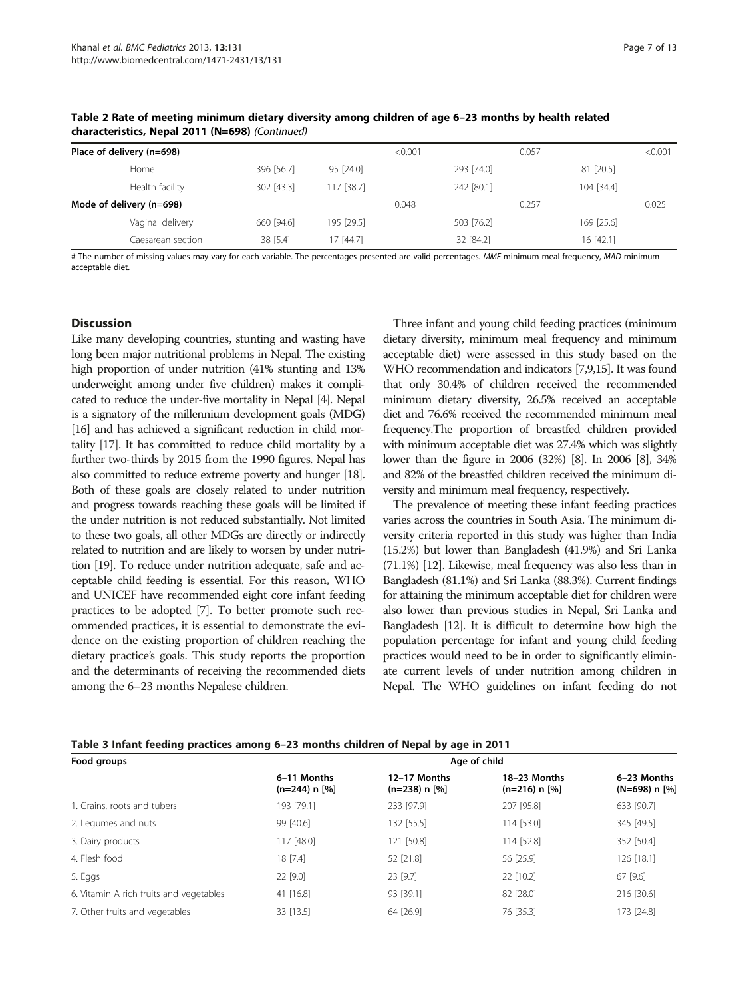| Grafacteristics, Nepal ZOTT (N=050) (Continued) |                   |            |            |         |            |       |            |         |  |  |
|-------------------------------------------------|-------------------|------------|------------|---------|------------|-------|------------|---------|--|--|
| Place of delivery (n=698)                       |                   |            |            | < 0.001 |            | 0.057 |            | < 0.001 |  |  |
|                                                 | Home              | 396 [56.7] | 95 [24.0]  |         | 293 [74.0] |       | 81 [20.5]  |         |  |  |
|                                                 | Health facility   | 302 [43.3] | 117 [38.7] |         | 242 [80.1] |       | 104 [34.4] |         |  |  |
| Mode of delivery (n=698)                        |                   |            |            | 0.048   |            | 0.257 |            | 0.025   |  |  |
|                                                 | Vaginal delivery  | 660 [94.6] | 195 [29.5] |         | 503 [76.2] |       | 169 [25.6] |         |  |  |
|                                                 | Caesarean section | 38 [5.4]   | 17 [44.7]  |         | 32 [84.2]  |       | 16 [42.1]  |         |  |  |

<span id="page-6-0"></span>Table 2 Rate of meeting minimum dietary diversity among children of age 6–23 months by health related characteristics, Nepal 2011 (N=698) (Continued)

# The number of missing values may vary for each variable. The percentages presented are valid percentages. MMF minimum meal frequency, MAD minimum acceptable diet.

#### **Discussion**

Like many developing countries, stunting and wasting have long been major nutritional problems in Nepal. The existing high proportion of under nutrition (41% stunting and 13% underweight among under five children) makes it complicated to reduce the under-five mortality in Nepal [\[4\]](#page-11-0). Nepal is a signatory of the millennium development goals (MDG) [[16\]](#page-12-0) and has achieved a significant reduction in child mortality [\[17](#page-12-0)]. It has committed to reduce child mortality by a further two-thirds by 2015 from the 1990 figures. Nepal has also committed to reduce extreme poverty and hunger [\[18\]](#page-12-0). Both of these goals are closely related to under nutrition and progress towards reaching these goals will be limited if the under nutrition is not reduced substantially. Not limited to these two goals, all other MDGs are directly or indirectly related to nutrition and are likely to worsen by under nutrition [\[19](#page-12-0)]. To reduce under nutrition adequate, safe and acceptable child feeding is essential. For this reason, WHO and UNICEF have recommended eight core infant feeding practices to be adopted [\[7\]](#page-12-0). To better promote such recommended practices, it is essential to demonstrate the evidence on the existing proportion of children reaching the dietary practice's goals. This study reports the proportion and the determinants of receiving the recommended diets among the 6–23 months Nepalese children.

Three infant and young child feeding practices (minimum dietary diversity, minimum meal frequency and minimum acceptable diet) were assessed in this study based on the WHO recommendation and indicators [[7,9,15\]](#page-12-0). It was found that only 30.4% of children received the recommended minimum dietary diversity, 26.5% received an acceptable diet and 76.6% received the recommended minimum meal frequency.The proportion of breastfed children provided with minimum acceptable diet was 27.4% which was slightly lower than the figure in 2006 (32%) [\[8\]](#page-12-0). In 2006 [\[8](#page-12-0)], 34% and 82% of the breastfed children received the minimum diversity and minimum meal frequency, respectively.

The prevalence of meeting these infant feeding practices varies across the countries in South Asia. The minimum diversity criteria reported in this study was higher than India (15.2%) but lower than Bangladesh (41.9%) and Sri Lanka (71.1%) [\[12\]](#page-12-0). Likewise, meal frequency was also less than in Bangladesh (81.1%) and Sri Lanka (88.3%). Current findings for attaining the minimum acceptable diet for children were also lower than previous studies in Nepal, Sri Lanka and Bangladesh [\[12](#page-12-0)]. It is difficult to determine how high the population percentage for infant and young child feeding practices would need to be in order to significantly eliminate current levels of under nutrition among children in Nepal. The WHO guidelines on infant feeding do not

| Food groups                             | Age of child                     |                                   |                                   |                                |  |  |  |  |  |
|-----------------------------------------|----------------------------------|-----------------------------------|-----------------------------------|--------------------------------|--|--|--|--|--|
|                                         | 6-11 Months<br>$(n=244)$ n $[%]$ | 12-17 Months<br>$(n=238)$ n $[%]$ | 18-23 Months<br>$(n=216)$ n $[%]$ | 6-23 Months<br>$(N=698) n$ [%] |  |  |  |  |  |
| 1. Grains, roots and tubers             | 193 [79.1]                       | 233 [97.9]                        | 207 [95.8]                        | 633 [90.7]                     |  |  |  |  |  |
| 2. Legumes and nuts                     | 99 [40.6]                        | 132 [55.5]                        | 114 [53.0]                        | 345 [49.5]                     |  |  |  |  |  |
| 3. Dairy products                       | 117 [48.0]                       | 121 [50.8]                        | 114 [52.8]                        | 352 [50.4]                     |  |  |  |  |  |
| 4. Flesh food                           | 18 [7.4]                         | 52 [21.8]                         | 56 [25.9]                         | 126 [18.1]                     |  |  |  |  |  |
| 5. Eggs                                 | 22 [9.0]                         | 23 [9.7]                          | 22 [10.2]                         | 67 [9.6]                       |  |  |  |  |  |
| 6. Vitamin A rich fruits and vegetables | 41 $[16.8]$                      | 93 [39.1]                         | 82 [28.0]                         | 216 [30.6]                     |  |  |  |  |  |
| 7. Other fruits and vegetables          | 33 [13.5]                        | 64 [26.9]                         | 76 [35.3]                         | 173 [24.8]                     |  |  |  |  |  |

Table 3 Infant feeding practices among 6–23 months children of Nepal by age in 2011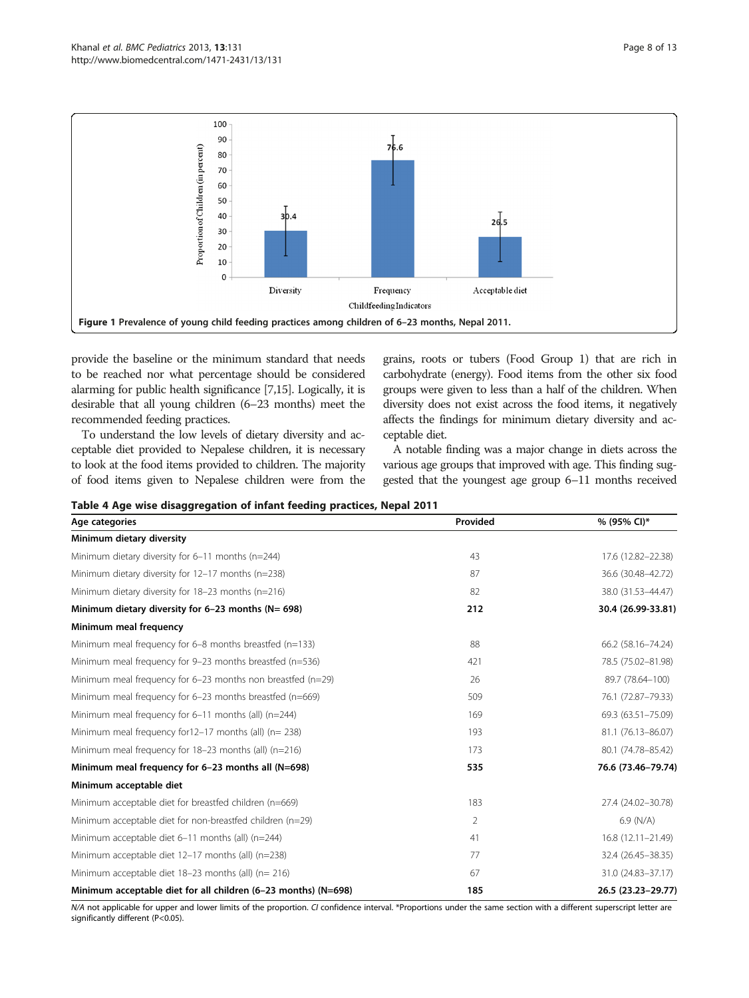<span id="page-7-0"></span>

provide the baseline or the minimum standard that needs to be reached nor what percentage should be considered alarming for public health significance [\[7,15](#page-12-0)]. Logically, it is desirable that all young children (6–23 months) meet the recommended feeding practices.

To understand the low levels of dietary diversity and acceptable diet provided to Nepalese children, it is necessary to look at the food items provided to children. The majority of food items given to Nepalese children were from the grains, roots or tubers (Food Group 1) that are rich in carbohydrate (energy). Food items from the other six food groups were given to less than a half of the children. When diversity does not exist across the food items, it negatively affects the findings for minimum dietary diversity and acceptable diet.

A notable finding was a major change in diets across the various age groups that improved with age. This finding suggested that the youngest age group 6–11 months received

Table 4 Age wise disaggregation of infant feeding practices, Nepal 2011

| Age categories                                                 | Provided       | % (95% CI)*        |
|----------------------------------------------------------------|----------------|--------------------|
| Minimum dietary diversity                                      |                |                    |
| Minimum dietary diversity for 6-11 months (n=244)              | 43             | 17.6 (12.82-22.38) |
| Minimum dietary diversity for 12-17 months (n=238)             | 87             | 36.6 (30.48-42.72) |
| Minimum dietary diversity for 18-23 months (n=216)             | 82             | 38.0 (31.53-44.47) |
| Minimum dietary diversity for $6-23$ months ( $N = 698$ )      | 212            | 30.4 (26.99-33.81) |
| Minimum meal frequency                                         |                |                    |
| Minimum meal frequency for $6-8$ months breastfed ( $n=133$ )  | 88             | 66.2 (58.16-74.24) |
| Minimum meal frequency for 9-23 months breastfed (n=536)       | 421            | 78.5 (75.02-81.98) |
| Minimum meal frequency for 6-23 months non breastfed (n=29)    | 26             | 89.7 (78.64-100)   |
| Minimum meal frequency for 6-23 months breastfed (n=669)       | 509            | 76.1 (72.87-79.33) |
| Minimum meal frequency for 6-11 months (all) (n=244)           | 169            | 69.3 (63.51-75.09) |
| Minimum meal frequency for 12-17 months (all) (n= 238)         | 193            | 81.1 (76.13-86.07) |
| Minimum meal frequency for 18-23 months (all) (n=216)          | 173            | 80.1 (74.78-85.42) |
| Minimum meal frequency for 6-23 months all (N=698)             | 535            | 76.6 (73.46-79.74) |
| Minimum acceptable diet                                        |                |                    |
| Minimum acceptable diet for breastfed children (n=669)         | 183            | 27.4 (24.02-30.78) |
| Minimum acceptable diet for non-breastfed children (n=29)      | $\overline{2}$ | $6.9$ (N/A)        |
| Minimum acceptable diet 6-11 months (all) (n=244)              | 41             | 16.8 (12.11-21.49) |
| Minimum acceptable diet 12-17 months (all) (n=238)             | 77             | 32.4 (26.45-38.35) |
| Minimum acceptable diet 18-23 months (all) (n= 216)            | 67             | 31.0 (24.83-37.17) |
| Minimum acceptable diet for all children (6-23 months) (N=698) | 185            | 26.5 (23.23-29.77) |

N/A not applicable for upper and lower limits of the proportion. CI confidence interval. \*Proportions under the same section with a different superscript letter are significantly different (P<0.05).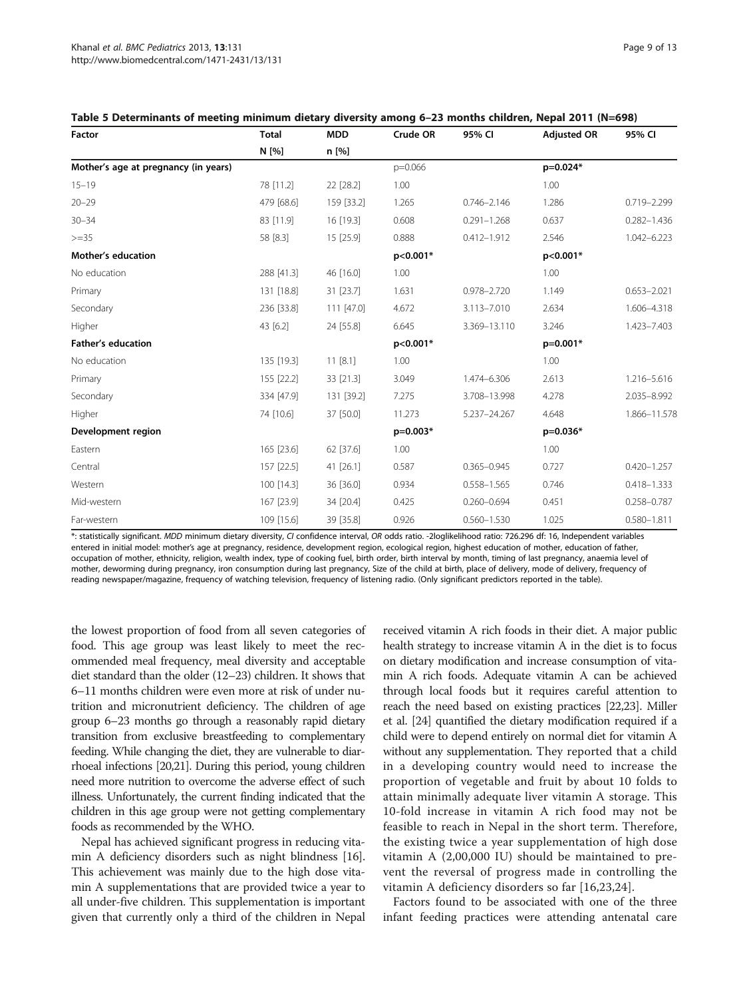<span id="page-8-0"></span>

|        | Table 5 Determinants of meeting minimum dietary diversity among 6–23 months children, Nepal 2011 (N=698) |            |          |        |                    |        |
|--------|----------------------------------------------------------------------------------------------------------|------------|----------|--------|--------------------|--------|
| Factor | Total                                                                                                    | <b>MDD</b> | Crude OR | 95% CI | <b>Adiusted OR</b> | 95% CI |
|        | N [%]                                                                                                    | $n \sim 1$ |          |        |                    |        |
| .      |                                                                                                          |            |          |        |                    |        |

|                                      | N [%]      | n [%]      |           |                 |            |                 |
|--------------------------------------|------------|------------|-----------|-----------------|------------|-----------------|
| Mother's age at pregnancy (in years) |            |            | $p=0.066$ |                 | p=0.024*   |                 |
| $15 - 19$                            | 78 [11.2]  | 22 [28.2]  | 1.00      |                 | 1.00       |                 |
| $20 - 29$                            | 479 [68.6] | 159 [33.2] | 1.265     | $0.746 - 2.146$ | 1.286      | 0.719-2.299     |
| $30 - 34$                            | 83 [11.9]  | 16 [19.3]  | 0.608     | $0.291 - 1.268$ | 0.637      | $0.282 - 1.436$ |
| $>=35$                               | 58 [8.3]   | 15 [25.9]  | 0.888     | $0.412 - 1.912$ | 2.546      | 1.042-6.223     |
| <b>Mother's education</b>            |            |            | p<0.001*  |                 | p<0.001*   |                 |
| No education                         | 288 [41.3] | 46 [16.0]  | 1.00      |                 | 1.00       |                 |
| Primary                              | 131 [18.8] | 31 [23.7]  | 1.631     | $0.978 - 2.720$ | 1.149      | $0.653 - 2.021$ |
| Secondary                            | 236 [33.8] | 111 [47.0] | 4.672     | 3.113-7.010     | 2.634      | 1.606-4.318     |
| Higher                               | 43 [6.2]   | 24 [55.8]  | 6.645     | 3.369-13.110    | 3.246      | 1.423-7.403     |
| <b>Father's education</b>            |            |            | p<0.001*  |                 | $p=0.001*$ |                 |
| No education                         | 135 [19.3] | 11 [8.1]   | 1.00      |                 | 1.00       |                 |
| Primary                              | 155 [22.2] | 33 [21.3]  | 3.049     | 1.474-6.306     | 2.613      | 1.216-5.616     |
| Secondary                            | 334 [47.9] | 131 [39.2] | 7.275     | 3.708-13.998    | 4.278      | 2.035-8.992     |
| Higher                               | 74 [10.6]  | 37 [50.0]  | 11.273    | 5.237-24.267    | 4.648      | 1.866-11.578    |
| Development region                   |            |            | p=0.003*  |                 | $p=0.036*$ |                 |
| Eastern                              | 165 [23.6] | 62 [37.6]  | 1.00      |                 | 1.00       |                 |
| Central                              | 157 [22.5] | 41 [26.1]  | 0.587     | $0.365 - 0.945$ | 0.727      | $0.420 - 1.257$ |
| Western                              | 100 [14.3] | 36 [36.0]  | 0.934     | $0.558 - 1.565$ | 0.746      | $0.418 - 1.333$ |
| Mid-western                          | 167 [23.9] | 34 [20.4]  | 0.425     | $0.260 - 0.694$ | 0.451      | $0.258 - 0.787$ |
| Far-western                          | 109 [15.6] | 39 [35.8]  | 0.926     | $0.560 - 1.530$ | 1.025      | $0.580 - 1.811$ |

\*: statistically significant. MDD minimum dietary diversity, CI confidence interval, OR odds ratio. -2loglikelihood ratio: 726.296 df: 16, Independent variables entered in initial model: mother's age at pregnancy, residence, development region, ecological region, highest education of mother, education of father, occupation of mother, ethnicity, religion, wealth index, type of cooking fuel, birth order, birth interval by month, timing of last pregnancy, anaemia level of mother, deworming during pregnancy, iron consumption during last pregnancy, Size of the child at birth, place of delivery, mode of delivery, frequency of reading newspaper/magazine, frequency of watching television, frequency of listening radio. (Only significant predictors reported in the table).

the lowest proportion of food from all seven categories of food. This age group was least likely to meet the recommended meal frequency, meal diversity and acceptable diet standard than the older (12–23) children. It shows that 6–11 months children were even more at risk of under nutrition and micronutrient deficiency. The children of age group 6–23 months go through a reasonably rapid dietary transition from exclusive breastfeeding to complementary feeding. While changing the diet, they are vulnerable to diarrhoeal infections [\[20,21](#page-12-0)]. During this period, young children need more nutrition to overcome the adverse effect of such illness. Unfortunately, the current finding indicated that the children in this age group were not getting complementary foods as recommended by the WHO.

Nepal has achieved significant progress in reducing vitamin A deficiency disorders such as night blindness [[16](#page-12-0)]. This achievement was mainly due to the high dose vitamin A supplementations that are provided twice a year to all under-five children. This supplementation is important given that currently only a third of the children in Nepal

received vitamin A rich foods in their diet. A major public health strategy to increase vitamin A in the diet is to focus on dietary modification and increase consumption of vitamin A rich foods. Adequate vitamin A can be achieved through local foods but it requires careful attention to reach the need based on existing practices [[22,23\]](#page-12-0). Miller et al. [[24](#page-12-0)] quantified the dietary modification required if a child were to depend entirely on normal diet for vitamin A without any supplementation. They reported that a child in a developing country would need to increase the proportion of vegetable and fruit by about 10 folds to attain minimally adequate liver vitamin A storage. This 10-fold increase in vitamin A rich food may not be feasible to reach in Nepal in the short term. Therefore, the existing twice a year supplementation of high dose vitamin A (2,00,000 IU) should be maintained to prevent the reversal of progress made in controlling the vitamin A deficiency disorders so far [\[16](#page-12-0),[23,24](#page-12-0)].

Factors found to be associated with one of the three infant feeding practices were attending antenatal care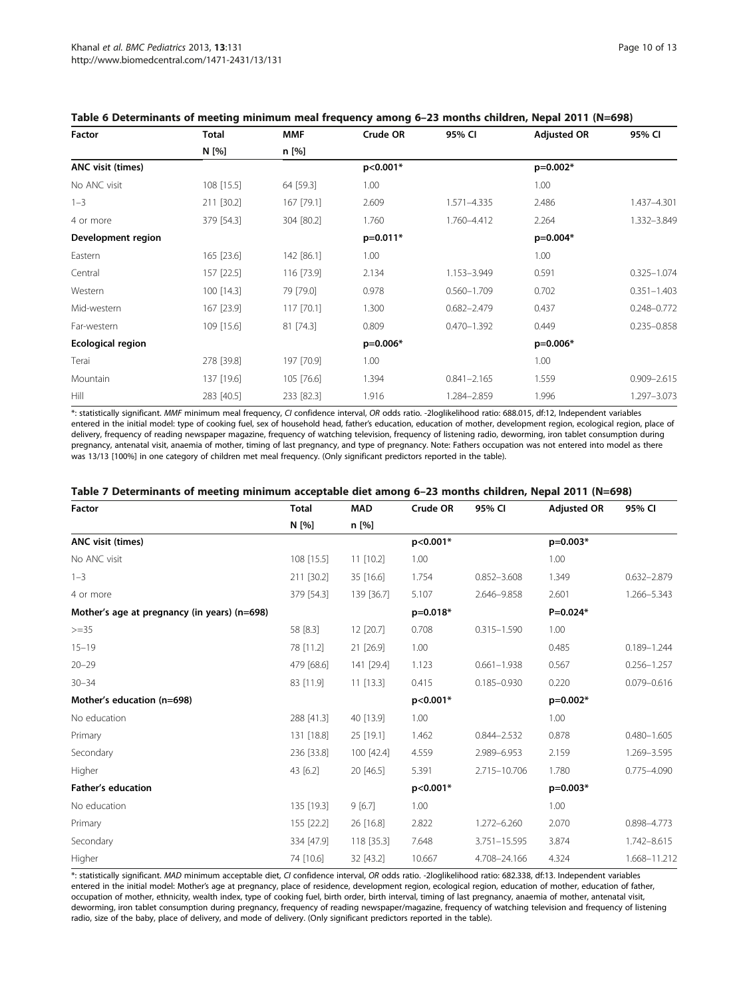| Factor                   | Total      | <b>MMF</b> | Crude OR   | 95% CI          | <b>Adjusted OR</b> | 95% CI          |
|--------------------------|------------|------------|------------|-----------------|--------------------|-----------------|
|                          | N [%]      | n [%]      |            |                 |                    |                 |
| ANC visit (times)        |            |            | p<0.001*   |                 | p=0.002*           |                 |
| No ANC visit             | 108 [15.5] | 64 [59.3]  | 1.00       |                 | 1.00               |                 |
| $1 - 3$                  | 211 [30.2] | 167 [79.1] | 2.609      | 1.571-4.335     | 2.486              | 1.437-4.301     |
| 4 or more                | 379 [54.3] | 304 [80.2] | 1.760      | 1.760-4.412     | 2.264              | 1.332-3.849     |
| Development region       |            |            | $p=0.011*$ |                 | $p=0.004*$         |                 |
| Eastern                  | 165 [23.6] | 142 [86.1] | 1.00       |                 | 1.00               |                 |
| Central                  | 157 [22.5] | 116 [73.9] | 2.134      | 1.153-3.949     | 0.591              | $0.325 - 1.074$ |
| Western                  | 100 [14.3] | 79 [79.0]  | 0.978      | $0.560 - 1.709$ | 0.702              | $0.351 - 1.403$ |
| Mid-western              | 167 [23.9] | 117 [70.1] | 1.300      | $0.682 - 2.479$ | 0.437              | $0.248 - 0.772$ |
| Far-western              | 109 [15.6] | 81 [74.3]  | 0.809      | $0.470 - 1.392$ | 0.449              | $0.235 - 0.858$ |
| <b>Ecological region</b> |            |            | p=0.006*   |                 | p=0.006*           |                 |
| Terai                    | 278 [39.8] | 197 [70.9] | 1.00       |                 | 1.00               |                 |
| Mountain                 | 137 [19.6] | 105 [76.6] | 1.394      | $0.841 - 2.165$ | 1.559              | $0.909 - 2.615$ |
| Hill                     | 283 [40.5] | 233 [82.3] | 1.916      | 1.284-2.859     | 1.996              | 1.297-3.073     |

## <span id="page-9-0"></span>Table 6 Determinants of meeting minimum meal frequency among 6–23 months children, Nepal 2011 (N=698)

\*: statistically significant. MMF minimum meal frequency, CI confidence interval, OR odds ratio. -2loglikelihood ratio: 688.015, df:12, Independent variables entered in the initial model: type of cooking fuel, sex of household head, father's education, education of mother, development region, ecological region, place of delivery, frequency of reading newspaper magazine, frequency of watching television, frequency of listening radio, deworming, iron tablet consumption during pregnancy, antenatal visit, anaemia of mother, timing of last pregnancy, and type of pregnancy. Note: Fathers occupation was not entered into model as there was 13/13 [100%] in one category of children met meal frequency. (Only significant predictors reported in the table).

| <b>Factor</b>                                | <b>Total</b> | <b>MAD</b>  | Crude OR   | 95% CI          | <b>Adjusted OR</b> | 95% CI          |
|----------------------------------------------|--------------|-------------|------------|-----------------|--------------------|-----------------|
|                                              | N [%]        | n [%]       |            |                 |                    |                 |
| <b>ANC visit (times)</b>                     |              |             | $p<0.001*$ |                 | $p=0.003*$         |                 |
| No ANC visit                                 | 108 [15.5]   | $11$ [10.2] | 1.00       |                 | 1.00               |                 |
| $1 - 3$                                      | 211 [30.2]   | 35 [16.6]   | 1.754      | $0.852 - 3.608$ | 1.349              | $0.632 - 2.879$ |
| 4 or more                                    | 379 [54.3]   | 139 [36.7]  | 5.107      | 2.646-9.858     | 2.601              | 1.266-5.343     |
| Mother's age at pregnancy (in years) (n=698) |              |             | p=0.018*   |                 | $P=0.024*$         |                 |
| $>=35$                                       | 58 [8.3]     | 12 [20.7]   | 0.708      | $0.315 - 1.590$ | 1.00               |                 |
| $15 - 19$                                    | 78 [11.2]    | 21 [26.9]   | 1.00       |                 | 0.485              | $0.189 - 1.244$ |
| $20 - 29$                                    | 479 [68.6]   | 141 [29.4]  | 1.123      | $0.661 - 1.938$ | 0.567              | $0.256 - 1.257$ |
| $30 - 34$                                    | 83 [11.9]    | $11$ [13.3] | 0.415      | $0.185 - 0.930$ | 0.220              | $0.079 - 0.616$ |
| Mother's education (n=698)                   |              |             | $p<0.001*$ |                 | p=0.002*           |                 |
| No education                                 | 288 [41.3]   | 40 [13.9]   | 1.00       |                 | 1.00               |                 |
| Primary                                      | 131 [18.8]   | 25 [19.1]   | 1.462      | $0.844 - 2.532$ | 0.878              | $0.480 - 1.605$ |
| Secondary                                    | 236 [33.8]   | 100 [42.4]  | 4.559      | 2.989-6.953     | 2.159              | 1.269-3.595     |
| Higher                                       | 43 [6.2]     | 20 [46.5]   | 5.391      | 2.715-10.706    | 1.780              | $0.775 - 4.090$ |
| <b>Father's education</b>                    |              |             | p<0.001*   |                 | $p=0.003*$         |                 |
| No education                                 | 135 [19.3]   | 9[6.7]      | 1.00       |                 | 1.00               |                 |
| Primary                                      | 155 [22.2]   | 26 [16.8]   | 2.822      | 1.272-6.260     | 2.070              | 0.898-4.773     |
| Secondary                                    | 334 [47.9]   | 118 [35.3]  | 7.648      | 3.751-15.595    | 3.874              | 1.742-8.615     |
| Higher                                       | 74 [10.6]    | 32 [43.2]   | 10.667     | 4.708-24.166    | 4.324              | 1.668-11.212    |

#### Table 7 Determinants of meeting minimum acceptable diet among 6–23 months children, Nepal 2011 (N=698)

\*: statistically significant. MAD minimum acceptable diet, CI confidence interval, OR odds ratio. -2loglikelihood ratio: 682.338, df:13. Independent variables entered in the initial model: Mother's age at pregnancy, place of residence, development region, ecological region, education of mother, education of father, occupation of mother, ethnicity, wealth index, type of cooking fuel, birth order, birth interval, timing of last pregnancy, anaemia of mother, antenatal visit, deworming, iron tablet consumption during pregnancy, frequency of reading newspaper/magazine, frequency of watching television and frequency of listening radio, size of the baby, place of delivery, and mode of delivery. (Only significant predictors reported in the table).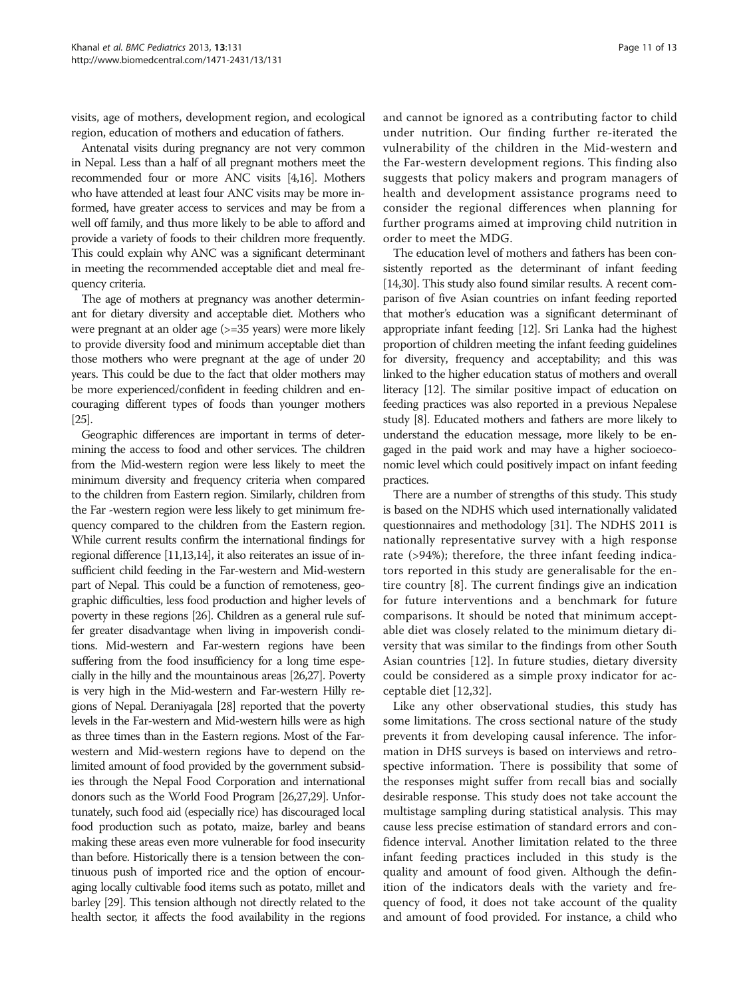visits, age of mothers, development region, and ecological region, education of mothers and education of fathers.

Antenatal visits during pregnancy are not very common in Nepal. Less than a half of all pregnant mothers meet the recommended four or more ANC visits [\[4](#page-11-0)[,16](#page-12-0)]. Mothers who have attended at least four ANC visits may be more informed, have greater access to services and may be from a well off family, and thus more likely to be able to afford and provide a variety of foods to their children more frequently. This could explain why ANC was a significant determinant in meeting the recommended acceptable diet and meal frequency criteria.

The age of mothers at pregnancy was another determinant for dietary diversity and acceptable diet. Mothers who were pregnant at an older age ( $> = 35$  years) were more likely to provide diversity food and minimum acceptable diet than those mothers who were pregnant at the age of under 20 years. This could be due to the fact that older mothers may be more experienced/confident in feeding children and encouraging different types of foods than younger mothers [[25\]](#page-12-0).

Geographic differences are important in terms of determining the access to food and other services. The children from the Mid-western region were less likely to meet the minimum diversity and frequency criteria when compared to the children from Eastern region. Similarly, children from the Far -western region were less likely to get minimum frequency compared to the children from the Eastern region. While current results confirm the international findings for regional difference [[11,13,14](#page-12-0)], it also reiterates an issue of insufficient child feeding in the Far-western and Mid-western part of Nepal. This could be a function of remoteness, geographic difficulties, less food production and higher levels of poverty in these regions [\[26\]](#page-12-0). Children as a general rule suffer greater disadvantage when living in impoverish conditions. Mid-western and Far-western regions have been suffering from the food insufficiency for a long time especially in the hilly and the mountainous areas [\[26,27\]](#page-12-0). Poverty is very high in the Mid-western and Far-western Hilly regions of Nepal. Deraniyagala [\[28\]](#page-12-0) reported that the poverty levels in the Far-western and Mid-western hills were as high as three times than in the Eastern regions. Most of the Farwestern and Mid-western regions have to depend on the limited amount of food provided by the government subsidies through the Nepal Food Corporation and international donors such as the World Food Program [[26,27,29](#page-12-0)]. Unfortunately, such food aid (especially rice) has discouraged local food production such as potato, maize, barley and beans making these areas even more vulnerable for food insecurity than before. Historically there is a tension between the continuous push of imported rice and the option of encouraging locally cultivable food items such as potato, millet and barley [[29\]](#page-12-0). This tension although not directly related to the health sector, it affects the food availability in the regions and cannot be ignored as a contributing factor to child under nutrition. Our finding further re-iterated the vulnerability of the children in the Mid-western and the Far-western development regions. This finding also suggests that policy makers and program managers of health and development assistance programs need to consider the regional differences when planning for further programs aimed at improving child nutrition in order to meet the MDG.

The education level of mothers and fathers has been consistently reported as the determinant of infant feeding [[14,30\]](#page-12-0). This study also found similar results. A recent comparison of five Asian countries on infant feeding reported that mother's education was a significant determinant of appropriate infant feeding [\[12\]](#page-12-0). Sri Lanka had the highest proportion of children meeting the infant feeding guidelines for diversity, frequency and acceptability; and this was linked to the higher education status of mothers and overall literacy [\[12](#page-12-0)]. The similar positive impact of education on feeding practices was also reported in a previous Nepalese study [\[8\]](#page-12-0). Educated mothers and fathers are more likely to understand the education message, more likely to be engaged in the paid work and may have a higher socioeconomic level which could positively impact on infant feeding practices.

There are a number of strengths of this study. This study is based on the NDHS which used internationally validated questionnaires and methodology [\[31\]](#page-12-0). The NDHS 2011 is nationally representative survey with a high response rate (>94%); therefore, the three infant feeding indicators reported in this study are generalisable for the entire country [[8](#page-12-0)]. The current findings give an indication for future interventions and a benchmark for future comparisons. It should be noted that minimum acceptable diet was closely related to the minimum dietary diversity that was similar to the findings from other South Asian countries [\[12](#page-12-0)]. In future studies, dietary diversity could be considered as a simple proxy indicator for acceptable diet [\[12](#page-12-0),[32\]](#page-12-0).

Like any other observational studies, this study has some limitations. The cross sectional nature of the study prevents it from developing causal inference. The information in DHS surveys is based on interviews and retrospective information. There is possibility that some of the responses might suffer from recall bias and socially desirable response. This study does not take account the multistage sampling during statistical analysis. This may cause less precise estimation of standard errors and confidence interval. Another limitation related to the three infant feeding practices included in this study is the quality and amount of food given. Although the definition of the indicators deals with the variety and frequency of food, it does not take account of the quality and amount of food provided. For instance, a child who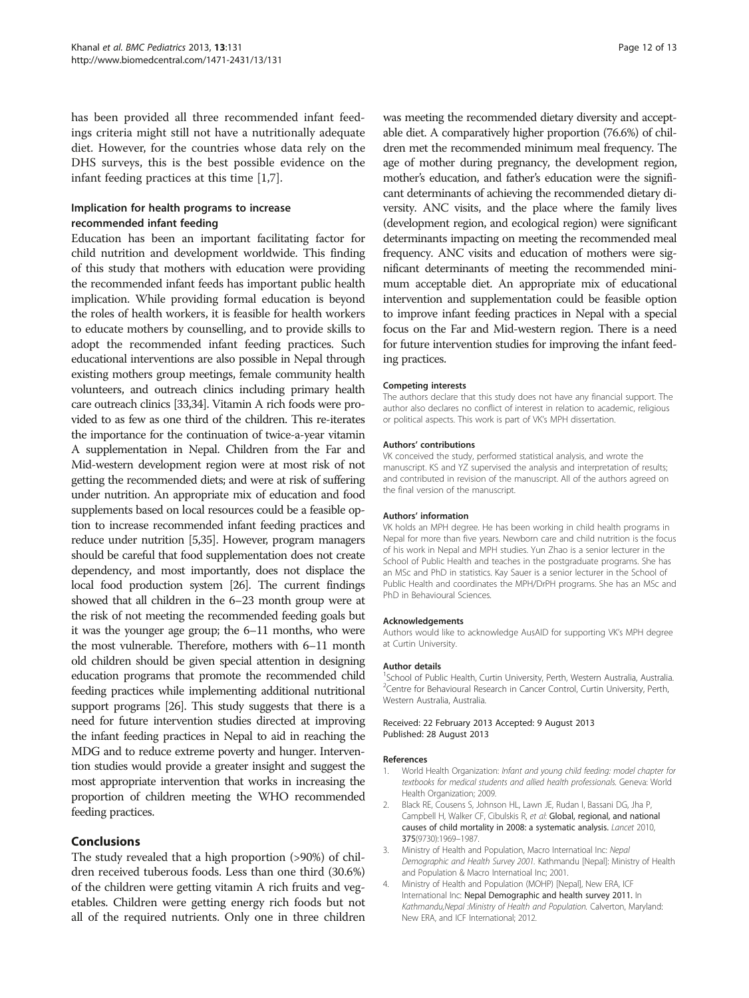<span id="page-11-0"></span>has been provided all three recommended infant feedings criteria might still not have a nutritionally adequate diet. However, for the countries whose data rely on the DHS surveys, this is the best possible evidence on the infant feeding practices at this time [1,[7\]](#page-12-0).

## Implication for health programs to increase recommended infant feeding

Education has been an important facilitating factor for child nutrition and development worldwide. This finding of this study that mothers with education were providing the recommended infant feeds has important public health implication. While providing formal education is beyond the roles of health workers, it is feasible for health workers to educate mothers by counselling, and to provide skills to adopt the recommended infant feeding practices. Such educational interventions are also possible in Nepal through existing mothers group meetings, female community health volunteers, and outreach clinics including primary health care outreach clinics [\[33,34](#page-12-0)]. Vitamin A rich foods were provided to as few as one third of the children. This re-iterates the importance for the continuation of twice-a-year vitamin A supplementation in Nepal. Children from the Far and Mid-western development region were at most risk of not getting the recommended diets; and were at risk of suffering under nutrition. An appropriate mix of education and food supplements based on local resources could be a feasible option to increase recommended infant feeding practices and reduce under nutrition [\[5,35\]](#page-12-0). However, program managers should be careful that food supplementation does not create dependency, and most importantly, does not displace the local food production system [\[26\]](#page-12-0). The current findings showed that all children in the 6–23 month group were at the risk of not meeting the recommended feeding goals but it was the younger age group; the 6–11 months, who were the most vulnerable. Therefore, mothers with 6–11 month old children should be given special attention in designing education programs that promote the recommended child feeding practices while implementing additional nutritional support programs [\[26](#page-12-0)]. This study suggests that there is a need for future intervention studies directed at improving the infant feeding practices in Nepal to aid in reaching the MDG and to reduce extreme poverty and hunger. Intervention studies would provide a greater insight and suggest the most appropriate intervention that works in increasing the proportion of children meeting the WHO recommended feeding practices.

## Conclusions

The study revealed that a high proportion (>90%) of children received tuberous foods. Less than one third (30.6%) of the children were getting vitamin A rich fruits and vegetables. Children were getting energy rich foods but not all of the required nutrients. Only one in three children was meeting the recommended dietary diversity and acceptable diet. A comparatively higher proportion (76.6%) of children met the recommended minimum meal frequency. The age of mother during pregnancy, the development region, mother's education, and father's education were the significant determinants of achieving the recommended dietary diversity. ANC visits, and the place where the family lives (development region, and ecological region) were significant determinants impacting on meeting the recommended meal frequency. ANC visits and education of mothers were significant determinants of meeting the recommended minimum acceptable diet. An appropriate mix of educational intervention and supplementation could be feasible option to improve infant feeding practices in Nepal with a special focus on the Far and Mid-western region. There is a need for future intervention studies for improving the infant feeding practices.

#### Competing interests

The authors declare that this study does not have any financial support. The author also declares no conflict of interest in relation to academic, religious or political aspects. This work is part of VK's MPH dissertation.

#### Authors' contributions

VK conceived the study, performed statistical analysis, and wrote the manuscript. KS and YZ supervised the analysis and interpretation of results; and contributed in revision of the manuscript. All of the authors agreed on the final version of the manuscript.

#### Authors' information

VK holds an MPH degree. He has been working in child health programs in Nepal for more than five years. Newborn care and child nutrition is the focus of his work in Nepal and MPH studies. Yun Zhao is a senior lecturer in the School of Public Health and teaches in the postgraduate programs. She has an MSc and PhD in statistics. Kay Sauer is a senior lecturer in the School of Public Health and coordinates the MPH/DrPH programs. She has an MSc and PhD in Behavioural Sciences.

#### Acknowledgements

Authors would like to acknowledge AusAID for supporting VK's MPH degree at Curtin University.

#### Author details

<sup>1</sup>School of Public Health, Curtin University, Perth, Western Australia, Australia. <sup>2</sup> Centre for Behavioural Research in Cancer Control, Curtin University, Perth Western Australia, Australia.

#### Received: 22 February 2013 Accepted: 9 August 2013 Published: 28 August 2013

#### References

- 1. World Health Organization: Infant and young child feeding: model chapter for textbooks for medical students and allied health professionals. Geneva: World Health Organization; 2009.
- 2. Black RE, Cousens S, Johnson HL, Lawn JE, Rudan I, Bassani DG, Jha P, Campbell H, Walker CF, Cibulskis R, et al: Global, regional, and national causes of child mortality in 2008: a systematic analysis. Lancet 2010, 375(9730):1969–1987.
- 3. Ministry of Health and Population, Macro Internatioal Inc: Nepal Demographic and Health Survey 2001. Kathmandu [Nepal]: Ministry of Health and Population & Macro Internatioal Inc; 2001.
- 4. Ministry of Health and Population (MOHP) [Nepal], New ERA, ICF International Inc: Nepal Demographic and health survey 2011. In Kathmandu,Nepal :Ministry of Health and Population. Calverton, Maryland: New ERA, and ICF International; 2012.